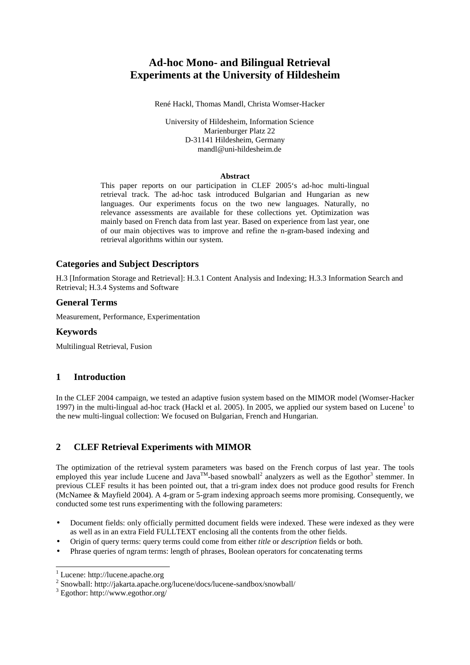# **Ad-hoc Mono- and Bilingual Retrieval Experiments at the University of Hildesheim**

René Hackl, Thomas Mandl, Christa Womser-Hacker

University of Hildesheim, Information Science Marienburger Platz 22 D-31141 Hildesheim, Germany mandl@uni-hildesheim.de

#### **Abstract**

This paper reports on our participation in CLEF 2005's ad-hoc multi-lingual retrieval track. The ad-hoc task introduced Bulgarian and Hungarian as new languages. Our experiments focus on the two new languages. Naturally, no relevance assessments are available for these collections yet. Optimization was mainly based on French data from last year. Based on experience from last year, one of our main objectives was to improve and refine the n-gram-based indexing and retrieval algorithms within our system.

## **Categories and Subject Descriptors**

H.3 [Information Storage and Retrieval]: H.3.1 Content Analysis and Indexing; H.3.3 Information Search and Retrieval; H.3.4 Systems and Software

### **General Terms**

Measurement, Performance, Experimentation

### **Keywords**

Multilingual Retrieval, Fusion

# **1 Introduction**

In the CLEF 2004 campaign, we tested an adaptive fusion system based on the MIMOR model (Womser-Hacker 1997) in the multi-lingual ad-hoc track (Hackl et al. 2005). In 2005, we applied our system based on Lucene<sup>1</sup> to the new multi-lingual collection: We focused on Bulgarian, French and Hungarian.

# **2 CLEF Retrieval Experiments with MIMOR**

The optimization of the retrieval system parameters was based on the French corpus of last year. The tools employed this year include Lucene and Java<sup>TM</sup>-based snowball<sup>2</sup> analyzers as well as the Egothor<sup>3</sup> stemmer. In previous CLEF results it has been pointed out, that a tri-gram index does not produce good results for French (McNamee & Mayfield 2004). A 4-gram or 5-gram indexing approach seems more promising. Consequently, we conducted some test runs experimenting with the following parameters:

- Document fields: only officially permitted document fields were indexed. These were indexed as they were as well as in an extra Field FULLTEXT enclosing all the contents from the other fields.
- Origin of query terms: query terms could come from either *title* or *description* fields or both.
- Phrase queries of ngram terms: length of phrases, Boolean operators for concatenating terms

 $\overline{a}$ 

<sup>1</sup> Lucene: http://lucene.apache.org

<sup>2</sup> Snowball: http://jakarta.apache.org/lucene/docs/lucene-sandbox/snowball/

<sup>3</sup> Egothor: http://www.egothor.org/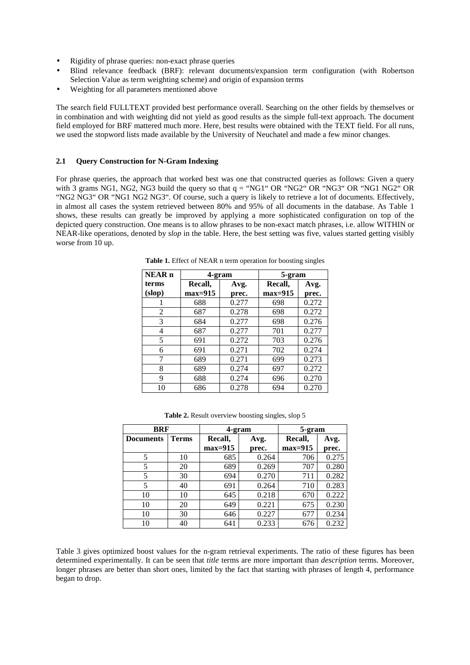- Rigidity of phrase queries: non-exact phrase queries
- Blind relevance feedback (BRF): relevant documents/expansion term configuration (with Robertson Selection Value as term weighting scheme) and origin of expansion terms
- Weighting for all parameters mentioned above

The search field FULLTEXT provided best performance overall. Searching on the other fields by themselves or in combination and with weighting did not yield as good results as the simple full-text approach. The document field employed for BRF mattered much more. Here, best results were obtained with the TEXT field. For all runs, we used the stopword lists made available by the University of Neuchatel and made a few minor changes.

#### **2.1 Query Construction for N-Gram Indexing**

For phrase queries, the approach that worked best was one that constructed queries as follows: Given a query with 3 grams NG1, NG2, NG3 build the query so that  $q = "NG1" OR "NG2" OR "NG3" OR "NG3" OR "NG1 NG2" OR"$ "NG2 NG3" OR "NG1 NG2 NG3". Of course, such a query is likely to retrieve a lot of documents. Effectively, in almost all cases the system retrieved between 80% and 95% of all documents in the database. As Table 1 shows, these results can greatly be improved by applying a more sophisticated configuration on top of the depicted query construction. One means is to allow phrases to be non-exact match phrases, i.e. allow WITHIN or NEAR-like operations, denoted by *slop* in the table. Here, the best setting was five, values started getting visibly worse from 10 up.

| <b>NEAR</b> <sub>n</sub> | 4-gram    |       | 5-gram    |       |
|--------------------------|-----------|-------|-----------|-------|
| terms                    | Recall.   | Avg.  | Recall,   | Avg.  |
| (slop)                   | $max=915$ | prec. | $max=915$ | prec. |
|                          | 688       | 0.277 | 698       | 0.272 |
| $\mathfrak{D}$           | 687       | 0.278 | 698       | 0.272 |
| 3                        | 684       | 0.277 | 698       | 0.276 |
| 4                        | 687       | 0.277 | 701       | 0.277 |
| 5                        | 691       | 0.272 | 703       | 0.276 |
| 6                        | 691       | 0.271 | 702       | 0.274 |
| 7                        | 689       | 0.271 | 699       | 0.273 |
| 8                        | 689       | 0.274 | 697       | 0.272 |
| 9                        | 688       | 0.274 | 696       | 0.270 |
| 10                       | 686       | 0.278 | 694       | 0.270 |

**Table 1.** Effect of NEAR n term operation for boosting singles

| Table 2. Result overview boosting singles, slop 5 |  |  |  |
|---------------------------------------------------|--|--|--|
|---------------------------------------------------|--|--|--|

| <b>BRF</b>       |              | 4-gram          |       | 5-gram    |       |  |
|------------------|--------------|-----------------|-------|-----------|-------|--|
| <b>Documents</b> | <b>Terms</b> | Recall,<br>Avg. |       | Recall,   | Avg.  |  |
|                  |              | $max=915$       | prec. | $max=915$ | prec. |  |
| 5                | 10           | 685             | 0.264 | 706       | 0.275 |  |
| 5                | 20           | 689             | 0.269 | 707       | 0.280 |  |
| 5                | 30           | 694             | 0.270 | 711       | 0.282 |  |
| 5                | 40           | 691             | 0.264 | 710       | 0.283 |  |
| 10               | 10           | 645             | 0.218 | 670       | 0.222 |  |
| 10               | 20           | 649             | 0.221 | 675       | 0.230 |  |
| 10               | 30           | 646             | 0.227 | 677       | 0.234 |  |
| 10               | 40           | 641             | 0.233 | 676       | 0.232 |  |

Table 3 gives optimized boost values for the n-gram retrieval experiments. The ratio of these figures has been determined experimentally. It can be seen that *title* terms are more important than *description* terms. Moreover, longer phrases are better than short ones, limited by the fact that starting with phrases of length 4, performance began to drop.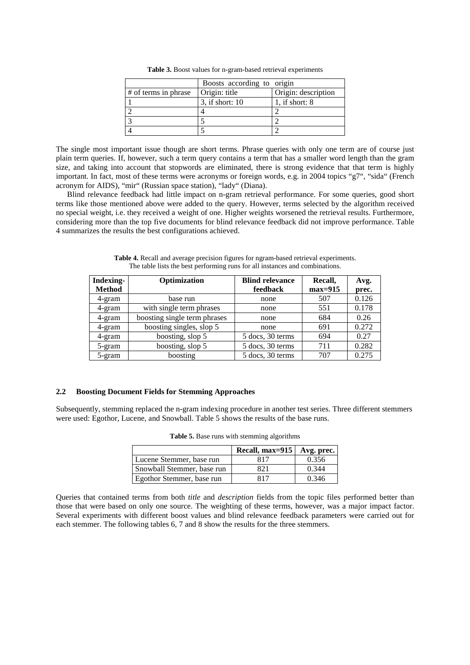|                      | Boosts according to origin |                     |  |  |  |
|----------------------|----------------------------|---------------------|--|--|--|
| # of terms in phrase | Origin: title              | Origin: description |  |  |  |
|                      | 3, if short: 10            | 1. if short: $8$    |  |  |  |
|                      |                            |                     |  |  |  |
|                      |                            |                     |  |  |  |
|                      |                            |                     |  |  |  |

**Table 3.** Boost values for n-gram-based retrieval experiments

The single most important issue though are short terms. Phrase queries with only one term are of course just plain term queries. If, however, such a term query contains a term that has a smaller word length than the gram size, and taking into account that stopwords are eliminated, there is strong evidence that that term is highly important. In fact, most of these terms were acronyms or foreign words, e.g. in 2004 topics "g7", "sida" (French acronym for AIDS), "mir" (Russian space station), "lady" (Diana).

Blind relevance feedback had little impact on n-gram retrieval performance. For some queries, good short terms like those mentioned above were added to the query. However, terms selected by the algorithm received no special weight, i.e. they received a weight of one. Higher weights worsened the retrieval results. Furthermore, considering more than the top five documents for blind relevance feedback did not improve performance. Table 4 summarizes the results the best configurations achieved.

| Indexing-     | Optimization                 | <b>Blind relevance</b> |           | Avg.  |
|---------------|------------------------------|------------------------|-----------|-------|
| <b>Method</b> |                              | feedback               | $max=915$ | prec. |
| 4-gram        | base run                     | none                   | 507       | 0.126 |
| 4-gram        | with single term phrases     | none                   | 551       | 0.178 |
| 4-gram        | boosting single term phrases | none                   | 684       | 0.26  |
| 4-gram        | boosting singles, slop 5     | none                   | 691       | 0.272 |
| 4-gram        | boosting, slop 5             | 5 docs, 30 terms       | 694       | 0.27  |
| 5-gram        | boosting, slop 5             | 5 docs, 30 terms       | 711       | 0.282 |
| 5-gram        | boosting                     | 5 docs, 30 terms       | 707       | 0.275 |

**Table 4.** Recall and average precision figures for ngram-based retrieval experiments. The table lists the best performing runs for all instances and combinations.

#### **2.2 Boosting Document Fields for Stemming Approaches**

Subsequently, stemming replaced the n-gram indexing procedure in another test series. Three different stemmers were used: Egothor, Lucene, and Snowball. Table 5 shows the results of the base runs.

|                            | Recall, max=915   Avg. prec. |       |
|----------------------------|------------------------------|-------|
| Lucene Stemmer, base run   | 817                          | 0.356 |
| Snowball Stemmer, base run | 821                          | 0.344 |
| Egothor Stemmer, base run  | 817                          | 0.346 |

**Table 5.** Base runs with stemming algorithms

Queries that contained terms from both *title* and *description* fields from the topic files performed better than those that were based on only one source. The weighting of these terms, however, was a major impact factor. Several experiments with different boost values and blind relevance feedback parameters were carried out for each stemmer. The following tables 6, 7 and 8 show the results for the three stemmers.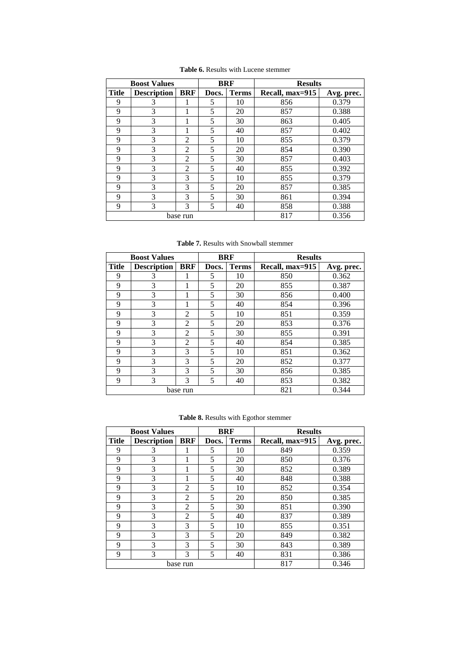| <b>Boost Values</b> |                    | <b>BRF</b>     |       | <b>Results</b> |                               |       |
|---------------------|--------------------|----------------|-------|----------------|-------------------------------|-------|
| <b>Title</b>        | <b>Description</b> | <b>BRF</b>     | Docs. | <b>Terms</b>   | Recall, max=915<br>Avg. prec. |       |
| 9                   | 3                  |                | 5     | 10             | 856                           | 0.379 |
| 9                   | 3                  |                | 5     | 20             | 857                           | 0.388 |
| 9                   | 3                  |                | 5     | 30             | 863                           | 0.405 |
| 9                   | 3                  |                | 5     | 40             | 857                           | 0.402 |
| 9                   | 3                  | $\overline{2}$ | 5     | 10             | 855                           | 0.379 |
| 9                   | 3                  | 2              | 5     | 20             | 854                           | 0.390 |
| 9                   | 3                  | $\overline{2}$ | 5     | 30             | 857                           | 0.403 |
| 9                   | 3                  | $\mathfrak{D}$ | 5     | 40             | 855                           | 0.392 |
| 9                   | 3                  | 3              | 5     | 10             | 855                           | 0.379 |
| 9                   | 3                  | 3              | 5     | 20             | 857                           | 0.385 |
| 9                   | 3                  | 3              | 5     | 30             | 861                           | 0.394 |
| 9                   | 3                  | 3              | 5     | 40             | 858                           | 0.388 |
|                     |                    | base run       |       |                | 817                           | 0.356 |

**Table 6.** Results with Lucene stemmer

**Table 7.** Results with Snowball stemmer

| <b>Boost Values</b> |                    | <b>BRF</b>     |       | <b>Results</b> |                 |            |
|---------------------|--------------------|----------------|-------|----------------|-----------------|------------|
| <b>Title</b>        | <b>Description</b> | <b>BRF</b>     | Docs. | <b>Terms</b>   | Recall, max=915 | Avg. prec. |
| 9                   | 3                  |                | 5     | 10             | 850             | 0.362      |
| 9                   | 3                  |                | 5     | 20             | 855             | 0.387      |
| 9                   | 3                  |                | 5     | 30             | 856             | 0.400      |
| 9                   | 3                  |                | 5     | 40             | 854             | 0.396      |
| 9                   | 3                  | 2              | 5     | 10             | 851             | 0.359      |
| 9                   | 3                  | 2              | 5     | 20             | 853             | 0.376      |
| 9                   | 3                  | $\overline{2}$ | 5     | 30             | 855             | 0.391      |
| 9                   | 3                  | $\overline{2}$ | 5     | 40             | 854             | 0.385      |
| 9                   | 3                  | 3              | 5     | 10             | 851             | 0.362      |
| 9                   | 3                  | 3              | 5     | 20             | 852             | 0.377      |
| 9                   | 3                  | 3              | 5     | 30             | 856             | 0.385      |
| 9                   | 3                  | 3              | 5     | 40             | 853             | 0.382      |
|                     |                    | base run       |       |                | 821             | 0.344      |

**Table 8.** Results with Egothor stemmer

|              | <b>Boost Values</b> |                | <b>BRF</b> |              | <b>Results</b>  |            |
|--------------|---------------------|----------------|------------|--------------|-----------------|------------|
| <b>Title</b> | <b>Description</b>  | <b>BRF</b>     | Docs.      | <b>Terms</b> | Recall, max=915 | Avg. prec. |
| 9            | 3                   |                | 5          | 10           | 849             | 0.359      |
| 9            | 3                   |                | 5          | 20           | 850             | 0.376      |
| 9            | 3                   |                | 5          | 30           | 852             | 0.389      |
| 9            | 3                   |                | 5          | 40           | 848             | 0.388      |
| 9            | 3                   | $\overline{2}$ | 5          | 10           | 852             | 0.354      |
| 9            | 3                   | $\overline{2}$ | 5          | 20           | 850             | 0.385      |
| 9            | 3                   | 2              | 5          | 30           | 851             | 0.390      |
| 9            | 3                   | $\overline{2}$ | 5          | 40           | 837             | 0.389      |
| 9            | 3                   | 3              | 5          | 10           | 855             | 0.351      |
| 9            | 3                   | 3              | 5          | 20           | 849             | 0.382      |
| 9            | 3                   | 3              | 5          | 30           | 843             | 0.389      |
| 9            | 3                   | 3              | 5          | 40           | 831             | 0.386      |
|              |                     | base run       |            |              | 817             | 0.346      |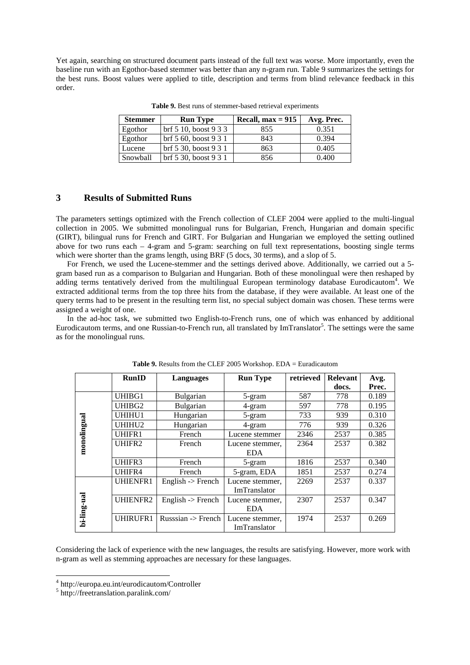Yet again, searching on structured document parts instead of the full text was worse. More importantly, even the baseline run with an Egothor-based stemmer was better than any n-gram run. Table 9 summarizes the settings for the best runs. Boost values were applied to title, description and terms from blind relevance feedback in this order.

| <b>Stemmer</b> | <b>Run Type</b>               | Recall. $max = 915$ | Avg. Prec. |
|----------------|-------------------------------|---------------------|------------|
| Egothor        | $\rm brf\,5\,10,$ boost 9 3 3 | 855                 | 0.351      |
| Egothor        | $\rm brf\,5\,60,$ boost 9 3 1 | 843                 | 0.394      |
| Lucene         | brf 5 30, boost 9 3 1         | 863                 | 0.405      |
| Snowball       | brf 5 30, boost 9 3 1         | 856                 | 0.400      |

**Table 9.** Best runs of stemmer-based retrieval experiments

# **3 Results of Submitted Runs**

The parameters settings optimized with the French collection of CLEF 2004 were applied to the multi-lingual collection in 2005. We submitted monolingual runs for Bulgarian, French, Hungarian and domain specific (GIRT), bilingual runs for French and GIRT. For Bulgarian and Hungarian we employed the setting outlined above for two runs each  $-4$ -gram and 5-gram: searching on full text representations, boosting single terms which were shorter than the grams length, using BRF (5 docs, 30 terms), and a slop of 5.

For French, we used the Lucene-stemmer and the settings derived above. Additionally, we carried out a 5 gram based run as a comparison to Bulgarian and Hungarian. Both of these monolingual were then reshaped by adding terms tentatively derived from the multilingual European terminology database Eurodicautom<sup>4</sup>. We extracted additional terms from the top three hits from the database, if they were available. At least one of the query terms had to be present in the resulting term list, no special subject domain was chosen. These terms were assigned a weight of one.

In the ad-hoc task, we submitted two English-to-French runs, one of which was enhanced by additional Eurodicautom terms, and one Russian-to-French run, all translated by ImTranslator<sup>5</sup>. The settings were the same as for the monolingual runs.

|             | <b>RunID</b>    | <b>Languages</b>             | <b>Run Type</b>     | retrieved | <b>Relevant</b> | Avg.  |
|-------------|-----------------|------------------------------|---------------------|-----------|-----------------|-------|
|             |                 |                              |                     |           | docs.           | Prec. |
|             | UHIBG1          | <b>Bulgarian</b>             | 5-gram              | 587       | 778             | 0.189 |
|             | UHIBG2          | Bulgarian                    | 4-gram              | 597       | 778             | 0.195 |
|             | UHIHU1          | Hungarian                    | 5-gram              | 733       | 939             | 0.310 |
|             | UHIHU2          | Hungarian                    | 4-gram              | 776       | 939             | 0.326 |
|             | UHIFR1          | French                       | Lucene stemmer      | 2346      | 2537            | 0.385 |
| monolingual | UHIFR2          | French                       | Lucene stemmer,     | 2364      | 2537            | 0.382 |
|             |                 |                              | <b>EDA</b>          |           |                 |       |
|             | UHIFR3          | French                       | 5-gram              | 1816      | 2537            | 0.340 |
|             | UHIFR4          | French                       | 5-gram, EDA         | 1851      | 2537            | 0.274 |
|             | <b>UHIENFR1</b> | English $\rightarrow$ French | Lucene stemmer,     | 2269      | 2537            | 0.337 |
|             |                 |                              | <b>ImTranslator</b> |           |                 |       |
|             | UHIENFR2        | English $\rightarrow$ French | Lucene stemmer,     | 2307      | 2537            | 0.347 |
|             |                 |                              | <b>EDA</b>          |           |                 |       |
| bi-ling-ual | UHIRUFR1        | Russsian -> French           | Lucene stemmer,     | 1974      | 2537            | 0.269 |
|             |                 |                              | ImTranslator        |           |                 |       |

**Table 9.** Results from the CLEF 2005 Workshop. EDA = Euradicautom

Considering the lack of experience with the new languages, the results are satisfying. However, more work with n-gram as well as stemming approaches are necessary for these languages.

 $\overline{a}$ 

<sup>4</sup> http://europa.eu.int/eurodicautom/Controller

<sup>5</sup> http://freetranslation.paralink.com/